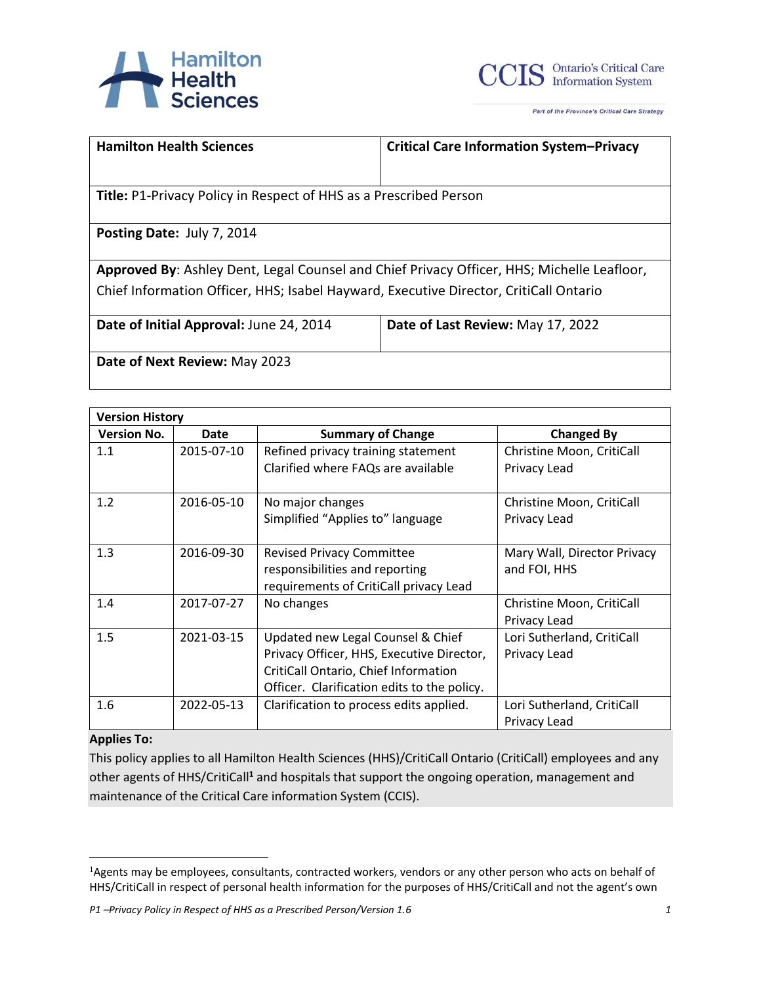



| <b>Hamilton Health Sciences</b>                                                            | <b>Critical Care Information System-Privacy</b> |  |
|--------------------------------------------------------------------------------------------|-------------------------------------------------|--|
| <b>Title: P1-Privacy Policy in Respect of HHS as a Prescribed Person</b>                   |                                                 |  |
| Posting Date: July 7, 2014                                                                 |                                                 |  |
| Approved By: Ashley Dent, Legal Counsel and Chief Privacy Officer, HHS; Michelle Leafloor, |                                                 |  |
| Chief Information Officer, HHS; Isabel Hayward, Executive Director, CritiCall Ontario      |                                                 |  |
| Date of Initial Approval: June 24, 2014                                                    | Date of Last Review: May 17, 2022               |  |

**Date of Next Review:** May 2023

| <b>Version History</b> |             |                                             |                             |
|------------------------|-------------|---------------------------------------------|-----------------------------|
| <b>Version No.</b>     | <b>Date</b> | <b>Summary of Change</b>                    | <b>Changed By</b>           |
| 1.1                    | 2015-07-10  | Refined privacy training statement          | Christine Moon, CritiCall   |
|                        |             | Clarified where FAQs are available          | Privacy Lead                |
| 1.2                    | 2016-05-10  | No major changes                            | Christine Moon, CritiCall   |
|                        |             | Simplified "Applies to" language            | Privacy Lead                |
| 1.3                    | 2016-09-30  | <b>Revised Privacy Committee</b>            | Mary Wall, Director Privacy |
|                        |             | responsibilities and reporting              | and FOI, HHS                |
|                        |             | requirements of CritiCall privacy Lead      |                             |
| 1.4                    | 2017-07-27  | No changes                                  | Christine Moon, CritiCall   |
|                        |             |                                             | Privacy Lead                |
| 1.5                    | 2021-03-15  | Updated new Legal Counsel & Chief           | Lori Sutherland, CritiCall  |
|                        |             | Privacy Officer, HHS, Executive Director,   | Privacy Lead                |
|                        |             | CritiCall Ontario, Chief Information        |                             |
|                        |             | Officer. Clarification edits to the policy. |                             |
| 1.6                    | 2022-05-13  | Clarification to process edits applied.     | Lori Sutherland, CritiCall  |
|                        |             |                                             | Privacy Lead                |

## **Applies To:**

This policy applies to all Hamilton Health Sciences (HHS)/CritiCall Ontario (CritiCall) employees and any other agents of HHS/CritiCall**<sup>1</sup>** and hospitals that support the ongoing operation, management and maintenance of the Critical Care information System (CCIS).

<sup>&</sup>lt;sup>1</sup>Agents may be employees, consultants, contracted workers, vendors or any other person who acts on behalf of HHS/CritiCall in respect of personal health information for the purposes of HHS/CritiCall and not the agent's own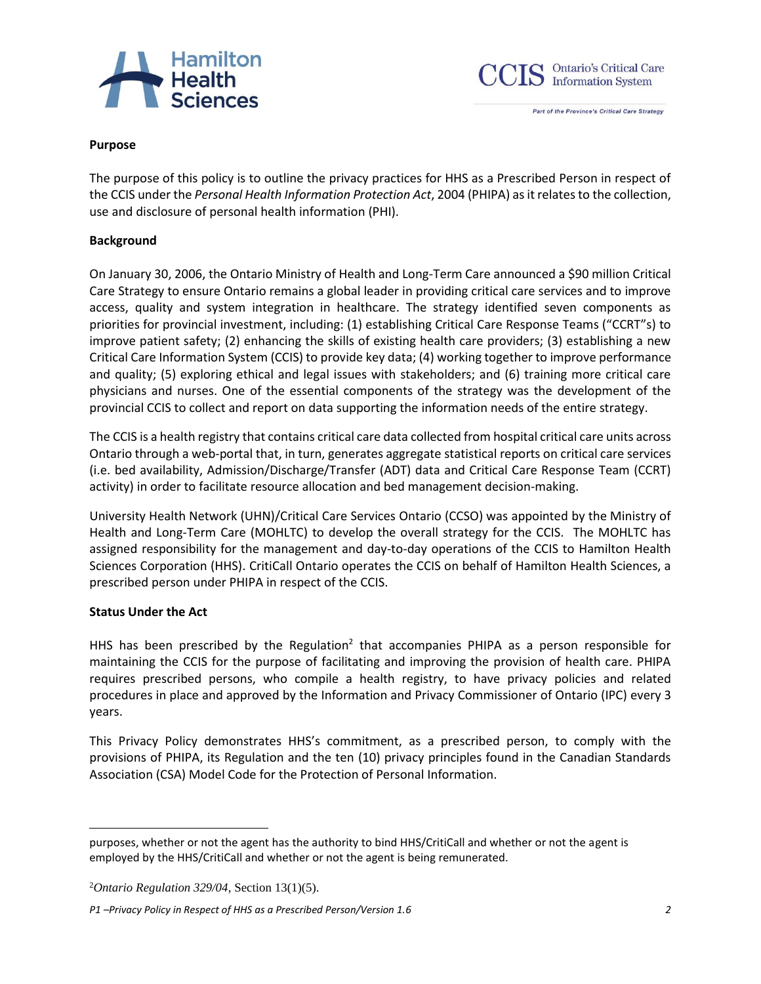



#### **Purpose**

The purpose of this policy is to outline the privacy practices for HHS as a Prescribed Person in respect of the CCIS under the *Personal Health Information Protection Act*, 2004 (PHIPA) as it relates to the collection, use and disclosure of personal health information (PHI).

#### **Background**

On January 30, 2006, the Ontario Ministry of Health and Long-Term Care announced a \$90 million Critical Care Strategy to ensure Ontario remains a global leader in providing critical care services and to improve access, quality and system integration in healthcare. The strategy identified seven components as priorities for provincial investment, including: (1) establishing Critical Care Response Teams ("CCRT"s) to improve patient safety; (2) enhancing the skills of existing health care providers; (3) establishing a new Critical Care Information System (CCIS) to provide key data; (4) working together to improve performance and quality; (5) exploring ethical and legal issues with stakeholders; and (6) training more critical care physicians and nurses. One of the essential components of the strategy was the development of the provincial CCIS to collect and report on data supporting the information needs of the entire strategy.

The CCIS is a health registry that contains critical care data collected from hospital critical care units across Ontario through a web-portal that, in turn, generates aggregate statistical reports on critical care services (i.e. bed availability, Admission/Discharge/Transfer (ADT) data and Critical Care Response Team (CCRT) activity) in order to facilitate resource allocation and bed management decision-making.

University Health Network (UHN)/Critical Care Services Ontario (CCSO) was appointed by the Ministry of Health and Long-Term Care (MOHLTC) to develop the overall strategy for the CCIS. The MOHLTC has assigned responsibility for the management and day-to-day operations of the CCIS to Hamilton Health Sciences Corporation (HHS). CritiCall Ontario operates the CCIS on behalf of Hamilton Health Sciences, a prescribed person under PHIPA in respect of the CCIS.

#### **Status Under the Act**

HHS has been prescribed by the Regulation<sup>2</sup> that accompanies PHIPA as a person responsible for maintaining the CCIS for the purpose of facilitating and improving the provision of health care. PHIPA requires prescribed persons, who compile a health registry, to have privacy policies and related procedures in place and approved by the Information and Privacy Commissioner of Ontario (IPC) every 3 years.

This Privacy Policy demonstrates HHS's commitment, as a prescribed person, to comply with the provisions of PHIPA, its Regulation and the ten (10) privacy principles found in the Canadian Standards Association (CSA) Model Code for the Protection of Personal Information.

purposes, whether or not the agent has the authority to bind HHS/CritiCall and whether or not the agent is employed by the HHS/CritiCall and whether or not the agent is being remunerated.

<sup>2</sup>*Ontario Regulation 329/04*, Section 13(1)(5).

*P1 –Privacy Policy in Respect of HHS as a Prescribed Person/Version 1.6 2*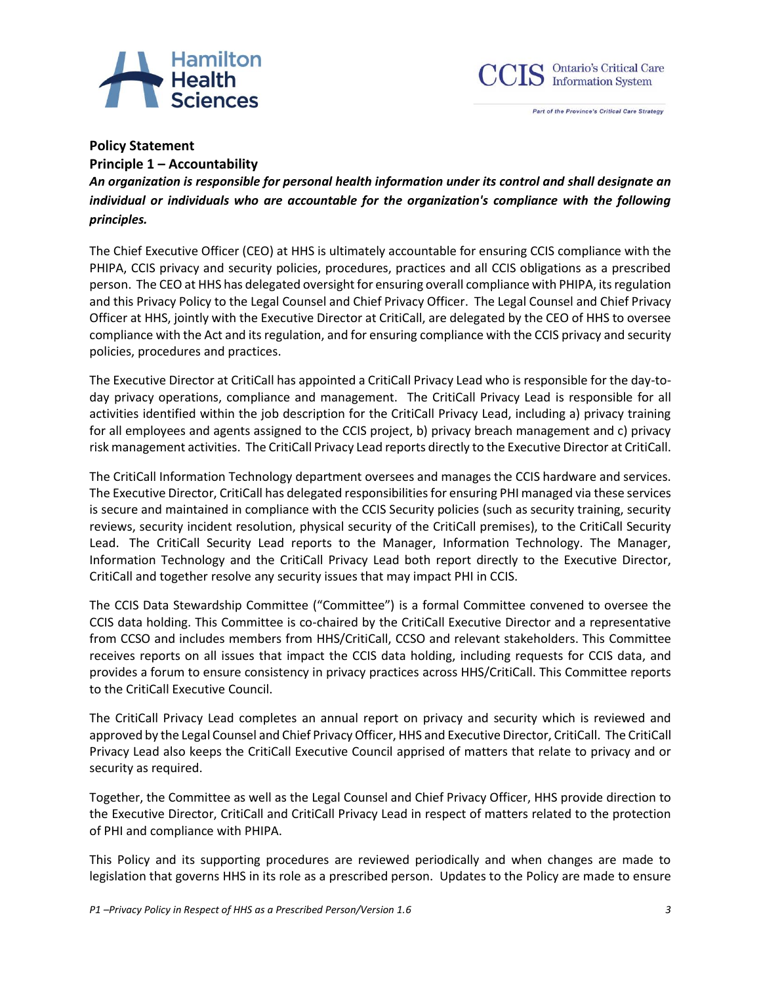



## **Policy Statement**

**Principle 1 – Accountability** *An organization is responsible for personal health information under its control and shall designate an individual or individuals who are accountable for the organization's compliance with the following principles.*

The Chief Executive Officer (CEO) at HHS is ultimately accountable for ensuring CCIS compliance with the PHIPA, CCIS privacy and security policies, procedures, practices and all CCIS obligations as a prescribed person. The CEO at HHS has delegated oversight for ensuring overall compliance with PHIPA, its regulation and this Privacy Policy to the Legal Counsel and Chief Privacy Officer. The Legal Counsel and Chief Privacy Officer at HHS, jointly with the Executive Director at CritiCall, are delegated by the CEO of HHS to oversee compliance with the Act and its regulation, and for ensuring compliance with the CCIS privacy and security policies, procedures and practices.

The Executive Director at CritiCall has appointed a CritiCall Privacy Lead who is responsible for the day-today privacy operations, compliance and management. The CritiCall Privacy Lead is responsible for all activities identified within the job description for the CritiCall Privacy Lead, including a) privacy training for all employees and agents assigned to the CCIS project, b) privacy breach management and c) privacy risk management activities. The CritiCall Privacy Lead reports directly to the Executive Director at CritiCall.

The CritiCall Information Technology department oversees and manages the CCIS hardware and services. The Executive Director, CritiCall has delegated responsibilities for ensuring PHI managed via these services is secure and maintained in compliance with the CCIS Security policies (such as security training, security reviews, security incident resolution, physical security of the CritiCall premises), to the CritiCall Security Lead. The CritiCall Security Lead reports to the Manager, Information Technology. The Manager, Information Technology and the CritiCall Privacy Lead both report directly to the Executive Director, CritiCall and together resolve any security issues that may impact PHI in CCIS.

The CCIS Data Stewardship Committee ("Committee") is a formal Committee convened to oversee the CCIS data holding. This Committee is co-chaired by the CritiCall Executive Director and a representative from CCSO and includes members from HHS/CritiCall, CCSO and relevant stakeholders. This Committee receives reports on all issues that impact the CCIS data holding, including requests for CCIS data, and provides a forum to ensure consistency in privacy practices across HHS/CritiCall. This Committee reports to the CritiCall Executive Council.

The CritiCall Privacy Lead completes an annual report on privacy and security which is reviewed and approved by the Legal Counsel and Chief Privacy Officer, HHS and Executive Director, CritiCall. The CritiCall Privacy Lead also keeps the CritiCall Executive Council apprised of matters that relate to privacy and or security as required.

Together, the Committee as well as the Legal Counsel and Chief Privacy Officer, HHS provide direction to the Executive Director, CritiCall and CritiCall Privacy Lead in respect of matters related to the protection of PHI and compliance with PHIPA.

This Policy and its supporting procedures are reviewed periodically and when changes are made to legislation that governs HHS in its role as a prescribed person. Updates to the Policy are made to ensure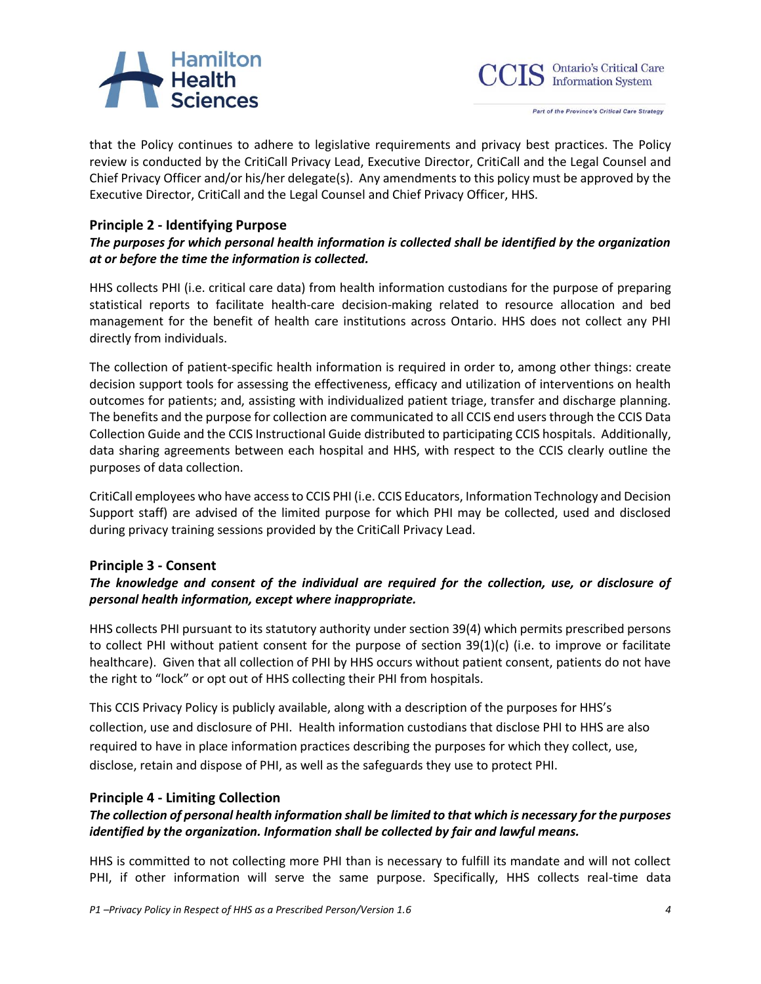# Hamilton<br>Health<br>Sciences



Part of the Province's Critical Care Strategy

that the Policy continues to adhere to legislative requirements and privacy best practices. The Policy review is conducted by the CritiCall Privacy Lead, Executive Director, CritiCall and the Legal Counsel and Chief Privacy Officer and/or his/her delegate(s). Any amendments to this policy must be approved by the Executive Director, CritiCall and the Legal Counsel and Chief Privacy Officer, HHS.

# **Principle 2 - Identifying Purpose**

# *The purposes for which personal health information is collected shall be identified by the organization at or before the time the information is collected.*

HHS collects PHI (i.e. critical care data) from health information custodians for the purpose of preparing statistical reports to facilitate health-care decision-making related to resource allocation and bed management for the benefit of health care institutions across Ontario. HHS does not collect any PHI directly from individuals.

The collection of patient-specific health information is required in order to, among other things: create decision support tools for assessing the effectiveness, efficacy and utilization of interventions on health outcomes for patients; and, assisting with individualized patient triage, transfer and discharge planning. The benefits and the purpose for collection are communicated to all CCIS end users through the CCIS Data Collection Guide and the CCIS Instructional Guide distributed to participating CCIS hospitals. Additionally, data sharing agreements between each hospital and HHS, with respect to the CCIS clearly outline the purposes of data collection.

CritiCall employees who have access to CCIS PHI (i.e. CCIS Educators, Information Technology and Decision Support staff) are advised of the limited purpose for which PHI may be collected, used and disclosed during privacy training sessions provided by the CritiCall Privacy Lead.

# **Principle 3 - Consent**

# *The knowledge and consent of the individual are required for the collection, use, or disclosure of personal health information, except where inappropriate.*

HHS collects PHI pursuant to its statutory authority under section 39(4) which permits prescribed persons to collect PHI without patient consent for the purpose of section 39(1)(c) (i.e. to improve or facilitate healthcare). Given that all collection of PHI by HHS occurs without patient consent, patients do not have the right to "lock" or opt out of HHS collecting their PHI from hospitals.

This CCIS Privacy Policy is publicly available, along with a description of the purposes for HHS's collection, use and disclosure of PHI. Health information custodians that disclose PHI to HHS are also required to have in place information practices describing the purposes for which they collect, use, disclose, retain and dispose of PHI, as well as the safeguards they use to protect PHI.

# **Principle 4 - Limiting Collection**

# *The collection of personal health information shall be limited to that which is necessary for the purposes identified by the organization. Information shall be collected by fair and lawful means.*

HHS is committed to not collecting more PHI than is necessary to fulfill its mandate and will not collect PHI, if other information will serve the same purpose. Specifically, HHS collects real-time data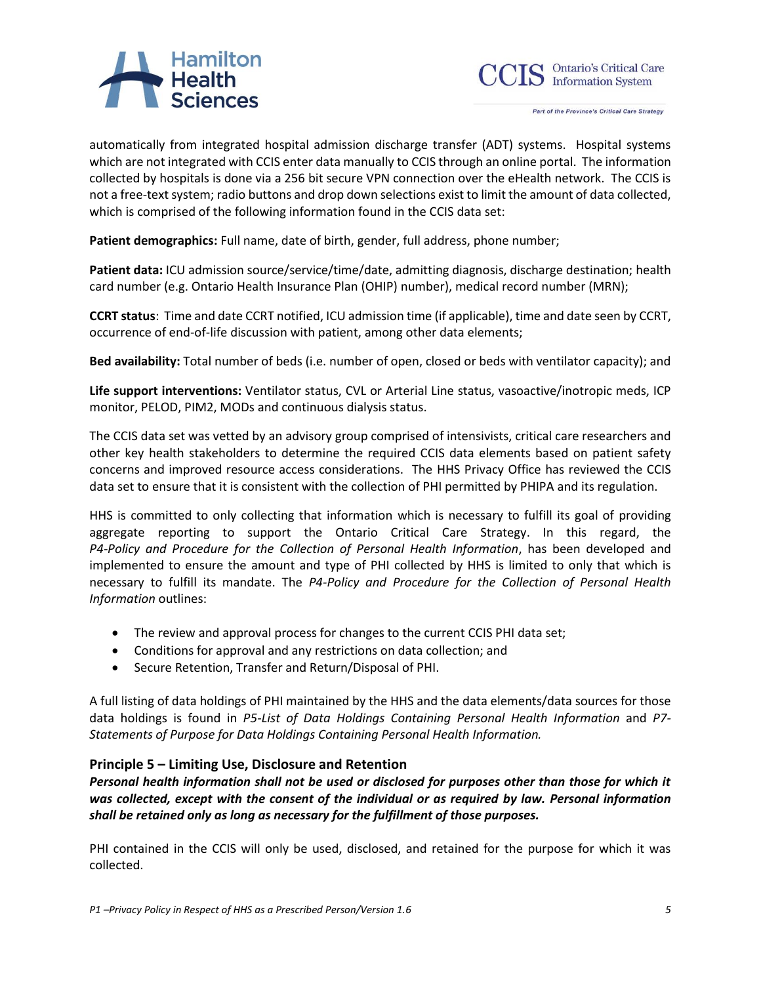# Hamilton<br>Health<br>Sciences



Part of the Province's Critical Care Strategy

automatically from integrated hospital admission discharge transfer (ADT) systems. Hospital systems which are not integrated with CCIS enter data manually to CCIS through an online portal. The information collected by hospitals is done via a 256 bit secure VPN connection over the eHealth network. The CCIS is not a free-text system; radio buttons and drop down selections exist to limit the amount of data collected, which is comprised of the following information found in the CCIS data set:

**Patient demographics:** Full name, date of birth, gender, full address, phone number;

**Patient data:** ICU admission source/service/time/date, admitting diagnosis, discharge destination; health card number (e.g. Ontario Health Insurance Plan (OHIP) number), medical record number (MRN);

**CCRT status**: Time and date CCRT notified, ICU admission time (if applicable), time and date seen by CCRT, occurrence of end-of-life discussion with patient, among other data elements;

**Bed availability:** Total number of beds (i.e. number of open, closed or beds with ventilator capacity); and

**Life support interventions:** Ventilator status, CVL or Arterial Line status, vasoactive/inotropic meds, ICP monitor, PELOD, PIM2, MODs and continuous dialysis status.

The CCIS data set was vetted by an advisory group comprised of intensivists, critical care researchers and other key health stakeholders to determine the required CCIS data elements based on patient safety concerns and improved resource access considerations. The HHS Privacy Office has reviewed the CCIS data set to ensure that it is consistent with the collection of PHI permitted by PHIPA and its regulation.

HHS is committed to only collecting that information which is necessary to fulfill its goal of providing aggregate reporting to support the Ontario Critical Care Strategy. In this regard, the *P4-Policy and Procedure for the Collection of Personal Health Information*, has been developed and implemented to ensure the amount and type of PHI collected by HHS is limited to only that which is necessary to fulfill its mandate. The *P4-Policy and Procedure for the Collection of Personal Health Information* outlines:

- The review and approval process for changes to the current CCIS PHI data set;
- Conditions for approval and any restrictions on data collection; and
- Secure Retention, Transfer and Return/Disposal of PHI.

A full listing of data holdings of PHI maintained by the HHS and the data elements/data sources for those data holdings is found in *P5-List of Data Holdings Containing Personal Health Information* and *P7- Statements of Purpose for Data Holdings Containing Personal Health Information.*

# **Principle 5 – Limiting Use, Disclosure and Retention**

*Personal health information shall not be used or disclosed for purposes other than those for which it was collected, except with the consent of the individual or as required by law. Personal information shall be retained only as long as necessary for the fulfillment of those purposes.*

PHI contained in the CCIS will only be used, disclosed, and retained for the purpose for which it was collected.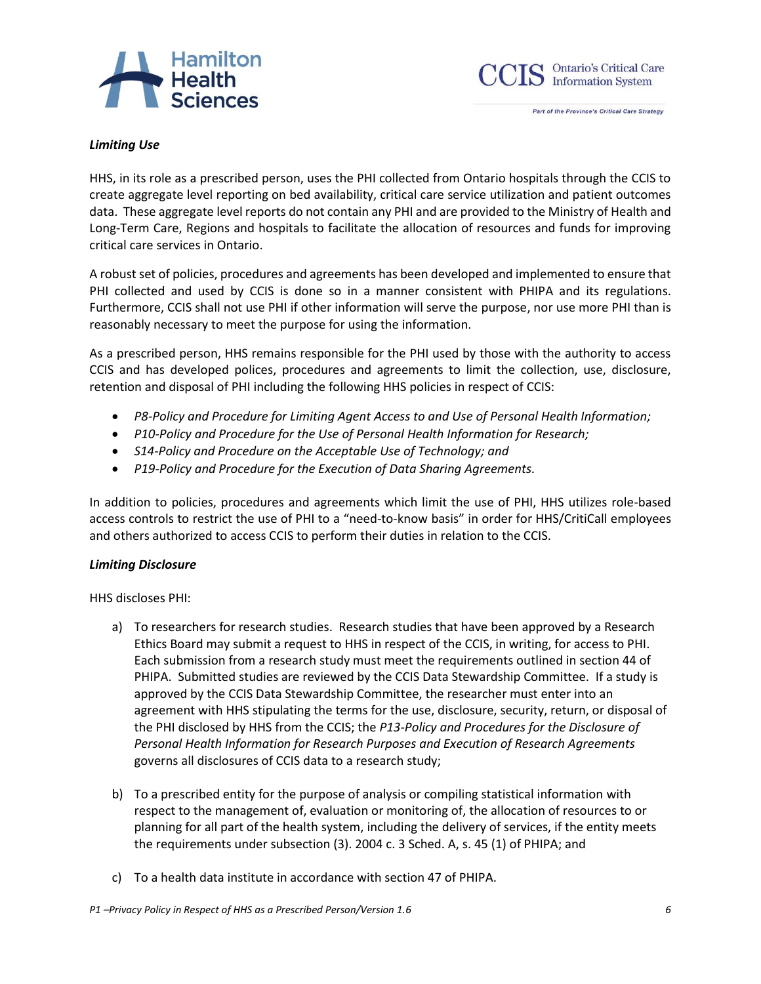



#### *Limiting Use*

HHS, in its role as a prescribed person, uses the PHI collected from Ontario hospitals through the CCIS to create aggregate level reporting on bed availability, critical care service utilization and patient outcomes data. These aggregate level reports do not contain any PHI and are provided to the Ministry of Health and Long-Term Care, Regions and hospitals to facilitate the allocation of resources and funds for improving critical care services in Ontario.

A robust set of policies, procedures and agreements has been developed and implemented to ensure that PHI collected and used by CCIS is done so in a manner consistent with PHIPA and its regulations. Furthermore, CCIS shall not use PHI if other information will serve the purpose, nor use more PHI than is reasonably necessary to meet the purpose for using the information.

As a prescribed person, HHS remains responsible for the PHI used by those with the authority to access CCIS and has developed polices, procedures and agreements to limit the collection, use, disclosure, retention and disposal of PHI including the following HHS policies in respect of CCIS:

- *P8-Policy and Procedure for Limiting Agent Access to and Use of Personal Health Information;*
- *P10-Policy and Procedure for the Use of Personal Health Information for Research;*
- *S14-Policy and Procedure on the Acceptable Use of Technology; and*
- *P19-Policy and Procedure for the Execution of Data Sharing Agreements.*

In addition to policies, procedures and agreements which limit the use of PHI, HHS utilizes role-based access controls to restrict the use of PHI to a "need-to-know basis" in order for HHS/CritiCall employees and others authorized to access CCIS to perform their duties in relation to the CCIS.

#### *Limiting Disclosure*

HHS discloses PHI:

- a) To researchers for research studies. Research studies that have been approved by a Research Ethics Board may submit a request to HHS in respect of the CCIS, in writing, for access to PHI. Each submission from a research study must meet the requirements outlined in section 44 of PHIPA. Submitted studies are reviewed by the CCIS Data Stewardship Committee. If a study is approved by the CCIS Data Stewardship Committee, the researcher must enter into an agreement with HHS stipulating the terms for the use, disclosure, security, return, or disposal of the PHI disclosed by HHS from the CCIS; the *P13-Policy and Procedures for the Disclosure of Personal Health Information for Research Purposes and Execution of Research Agreements* governs all disclosures of CCIS data to a research study;
- b) To a prescribed entity for the purpose of analysis or compiling statistical information with respect to the management of, evaluation or monitoring of, the allocation of resources to or planning for all part of the health system, including the delivery of services, if the entity meets the requirements under subsection (3). 2004 c. 3 Sched. A, s. 45 (1) of PHIPA; and
- c) To a health data institute in accordance with section 47 of PHIPA.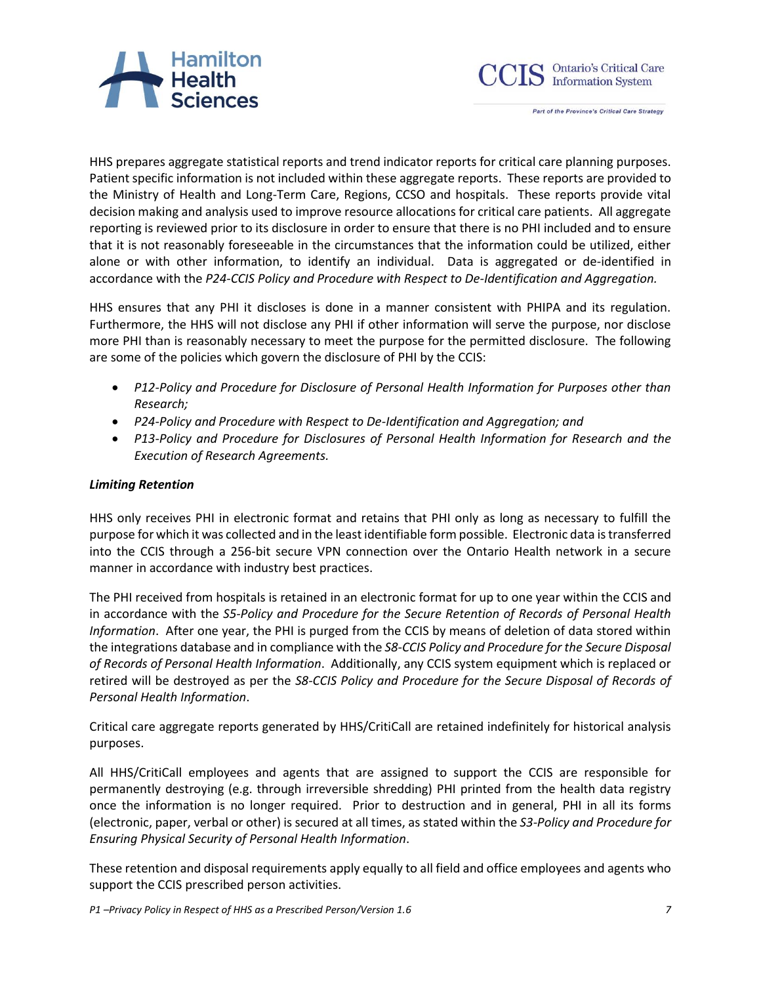



HHS prepares aggregate statistical reports and trend indicator reports for critical care planning purposes. Patient specific information is not included within these aggregate reports. These reports are provided to the Ministry of Health and Long-Term Care, Regions, CCSO and hospitals. These reports provide vital decision making and analysis used to improve resource allocations for critical care patients. All aggregate reporting is reviewed prior to its disclosure in order to ensure that there is no PHI included and to ensure that it is not reasonably foreseeable in the circumstances that the information could be utilized, either alone or with other information, to identify an individual. Data is aggregated or de-identified in accordance with the *P24-CCIS Policy and Procedure with Respect to De-Identification and Aggregation.*

HHS ensures that any PHI it discloses is done in a manner consistent with PHIPA and its regulation. Furthermore, the HHS will not disclose any PHI if other information will serve the purpose, nor disclose more PHI than is reasonably necessary to meet the purpose for the permitted disclosure. The following are some of the policies which govern the disclosure of PHI by the CCIS:

- *P12-Policy and Procedure for Disclosure of Personal Health Information for Purposes other than Research;*
- *P24-Policy and Procedure with Respect to De-Identification and Aggregation; and*
- *P13-Policy and Procedure for Disclosures of Personal Health Information for Research and the Execution of Research Agreements.*

## *Limiting Retention*

HHS only receives PHI in electronic format and retains that PHI only as long as necessary to fulfill the purpose for which it was collected and in the least identifiable form possible. Electronic data is transferred into the CCIS through a 256-bit secure VPN connection over the Ontario Health network in a secure manner in accordance with industry best practices.

The PHI received from hospitals is retained in an electronic format for up to one year within the CCIS and in accordance with the *S5-Policy and Procedure for the Secure Retention of Records of Personal Health Information*. After one year, the PHI is purged from the CCIS by means of deletion of data stored within the integrations database and in compliance with the *S8-CCIS Policy and Procedure for the Secure Disposal of Records of Personal Health Information*. Additionally, any CCIS system equipment which is replaced or retired will be destroyed as per the *S8-CCIS Policy and Procedure for the Secure Disposal of Records of Personal Health Information*.

Critical care aggregate reports generated by HHS/CritiCall are retained indefinitely for historical analysis purposes.

All HHS/CritiCall employees and agents that are assigned to support the CCIS are responsible for permanently destroying (e.g. through irreversible shredding) PHI printed from the health data registry once the information is no longer required. Prior to destruction and in general, PHI in all its forms (electronic, paper, verbal or other) is secured at all times, as stated within the *S3-Policy and Procedure for Ensuring Physical Security of Personal Health Information*.

These retention and disposal requirements apply equally to all field and office employees and agents who support the CCIS prescribed person activities.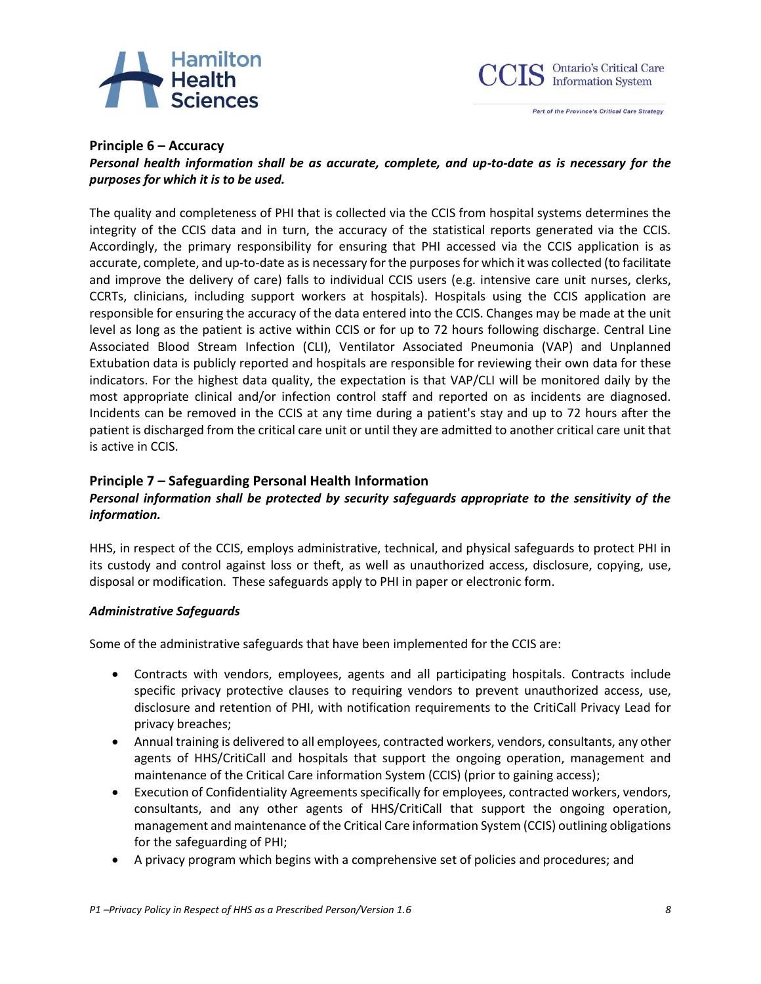



#### **Principle 6 – Accuracy**

## *Personal health information shall be as accurate, complete, and up-to-date as is necessary for the purposes for which it is to be used.*

The quality and completeness of PHI that is collected via the CCIS from hospital systems determines the integrity of the CCIS data and in turn, the accuracy of the statistical reports generated via the CCIS. Accordingly, the primary responsibility for ensuring that PHI accessed via the CCIS application is as accurate, complete, and up-to-date as is necessary for the purposes for which it was collected (to facilitate and improve the delivery of care) falls to individual CCIS users (e.g. intensive care unit nurses, clerks, CCRTs, clinicians, including support workers at hospitals). Hospitals using the CCIS application are responsible for ensuring the accuracy of the data entered into the CCIS. Changes may be made at the unit level as long as the patient is active within CCIS or for up to 72 hours following discharge. Central Line Associated Blood Stream Infection (CLI), Ventilator Associated Pneumonia (VAP) and Unplanned Extubation data is publicly reported and hospitals are responsible for reviewing their own data for these indicators. For the highest data quality, the expectation is that VAP/CLI will be monitored daily by the most appropriate clinical and/or infection control staff and reported on as incidents are diagnosed. Incidents can be removed in the CCIS at any time during a patient's stay and up to 72 hours after the patient is discharged from the critical care unit or until they are admitted to another critical care unit that is active in CCIS.

## **Principle 7 – Safeguarding Personal Health Information**

# *Personal information shall be protected by security safeguards appropriate to the sensitivity of the information.*

HHS, in respect of the CCIS, employs administrative, technical, and physical safeguards to protect PHI in its custody and control against loss or theft, as well as unauthorized access, disclosure, copying, use, disposal or modification. These safeguards apply to PHI in paper or electronic form.

## *Administrative Safeguards*

Some of the administrative safeguards that have been implemented for the CCIS are:

- Contracts with vendors, employees, agents and all participating hospitals. Contracts include specific privacy protective clauses to requiring vendors to prevent unauthorized access, use, disclosure and retention of PHI, with notification requirements to the CritiCall Privacy Lead for privacy breaches;
- Annual training is delivered to all employees, contracted workers, vendors, consultants, any other agents of HHS/CritiCall and hospitals that support the ongoing operation, management and maintenance of the Critical Care information System (CCIS) (prior to gaining access);
- Execution of Confidentiality Agreements specifically for employees, contracted workers, vendors, consultants, and any other agents of HHS/CritiCall that support the ongoing operation, management and maintenance of the Critical Care information System (CCIS) outlining obligations for the safeguarding of PHI;
- A privacy program which begins with a comprehensive set of policies and procedures; and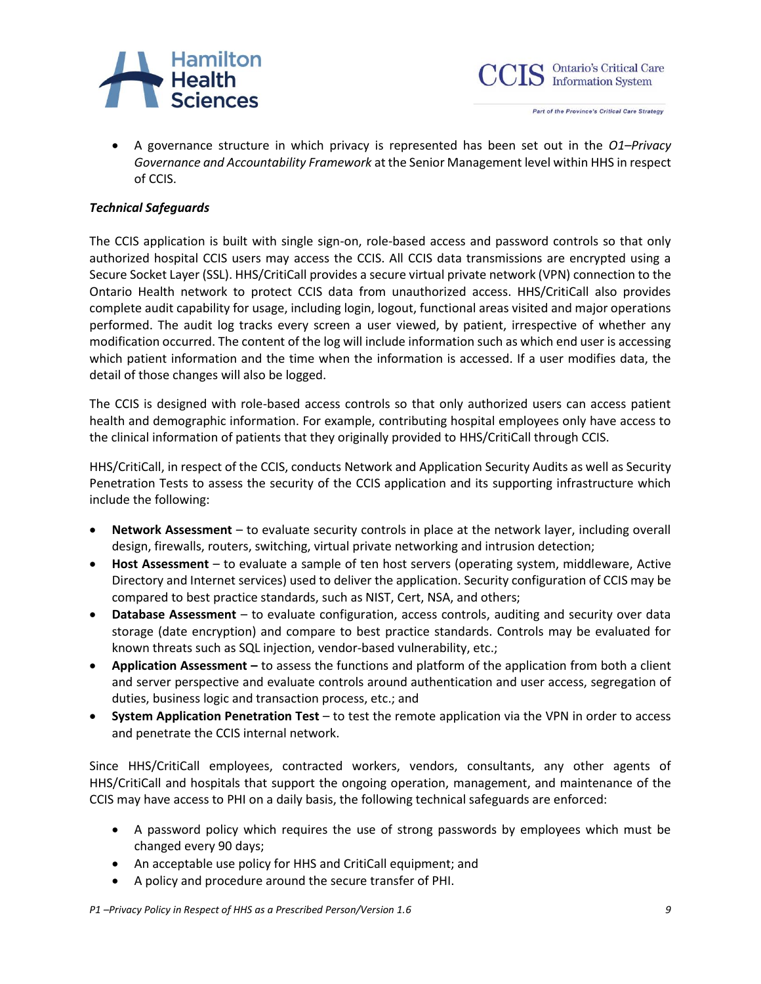



• A governance structure in which privacy is represented has been set out in the *O1–Privacy Governance and Accountability Framework* at the Senior Management level within HHS in respect of CCIS.

#### *Technical Safeguards*

The CCIS application is built with single sign-on, role-based access and password controls so that only authorized hospital CCIS users may access the CCIS. All CCIS data transmissions are encrypted using a Secure Socket Layer (SSL). HHS/CritiCall provides a secure virtual private network (VPN) connection to the Ontario Health network to protect CCIS data from unauthorized access. HHS/CritiCall also provides complete audit capability for usage, including login, logout, functional areas visited and major operations performed. The audit log tracks every screen a user viewed, by patient, irrespective of whether any modification occurred. The content of the log will include information such as which end user is accessing which patient information and the time when the information is accessed. If a user modifies data, the detail of those changes will also be logged.

The CCIS is designed with role-based access controls so that only authorized users can access patient health and demographic information. For example, contributing hospital employees only have access to the clinical information of patients that they originally provided to HHS/CritiCall through CCIS.

HHS/CritiCall, in respect of the CCIS, conducts Network and Application Security Audits as well as Security Penetration Tests to assess the security of the CCIS application and its supporting infrastructure which include the following:

- **Network Assessment** to evaluate security controls in place at the network layer, including overall design, firewalls, routers, switching, virtual private networking and intrusion detection;
- **Host Assessment** to evaluate a sample of ten host servers (operating system, middleware, Active Directory and Internet services) used to deliver the application. Security configuration of CCIS may be compared to best practice standards, such as NIST, Cert, NSA, and others;
- **Database Assessment** to evaluate configuration, access controls, auditing and security over data storage (date encryption) and compare to best practice standards. Controls may be evaluated for known threats such as SQL injection, vendor-based vulnerability, etc.;
- **Application Assessment –** to assess the functions and platform of the application from both a client and server perspective and evaluate controls around authentication and user access, segregation of duties, business logic and transaction process, etc.; and
- **System Application Penetration Test** to test the remote application via the VPN in order to access and penetrate the CCIS internal network.

Since HHS/CritiCall employees, contracted workers, vendors, consultants, any other agents of HHS/CritiCall and hospitals that support the ongoing operation, management, and maintenance of the CCIS may have access to PHI on a daily basis, the following technical safeguards are enforced:

- A password policy which requires the use of strong passwords by employees which must be changed every 90 days;
- An acceptable use policy for HHS and CritiCall equipment; and
- A policy and procedure around the secure transfer of PHI.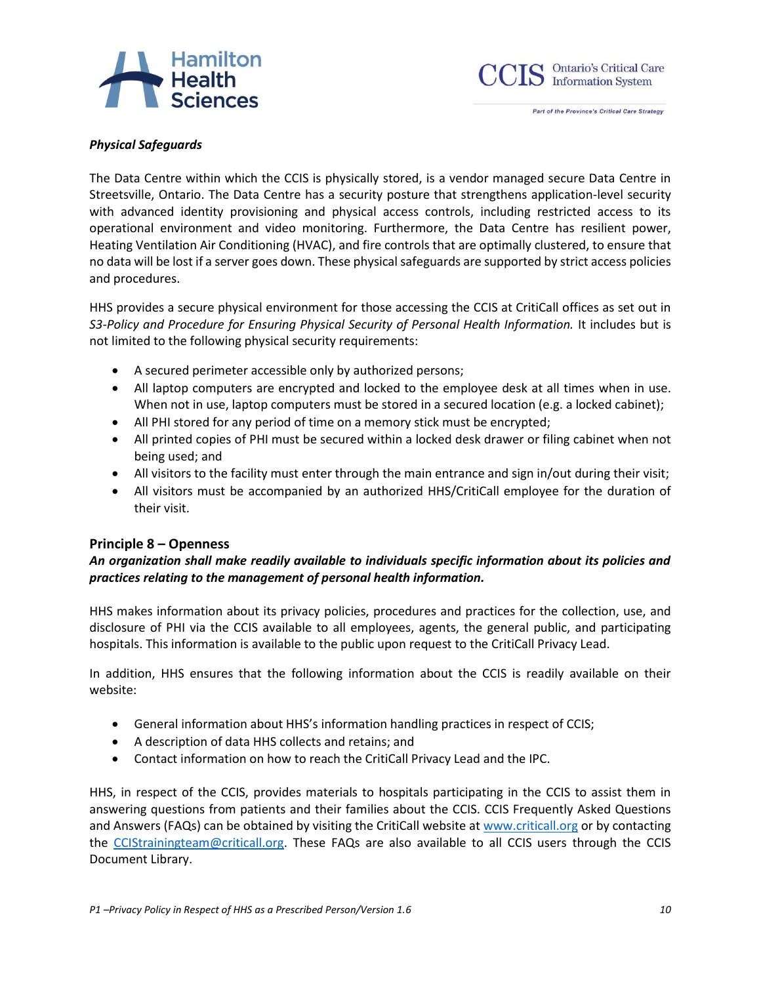# Hamilton<br>Health



### *Physical Safeguards*

The Data Centre within which the CCIS is physically stored, is a vendor managed secure Data Centre in Streetsville, Ontario. The Data Centre has a security posture that strengthens application-level security with advanced identity provisioning and physical access controls, including restricted access to its operational environment and video monitoring. Furthermore, the Data Centre has resilient power, Heating Ventilation Air Conditioning (HVAC), and fire controls that are optimally clustered, to ensure that no data will be lost if a server goes down. These physical safeguards are supported by strict access policies and procedures.

HHS provides a secure physical environment for those accessing the CCIS at CritiCall offices as set out in *S3-Policy and Procedure for Ensuring Physical Security of Personal Health Information.* It includes but is not limited to the following physical security requirements:

- A secured perimeter accessible only by authorized persons;
- All laptop computers are encrypted and locked to the employee desk at all times when in use. When not in use, laptop computers must be stored in a secured location (e.g. a locked cabinet);
- All PHI stored for any period of time on a memory stick must be encrypted;
- All printed copies of PHI must be secured within a locked desk drawer or filing cabinet when not being used; and
- All visitors to the facility must enter through the main entrance and sign in/out during their visit;
- All visitors must be accompanied by an authorized HHS/CritiCall employee for the duration of their visit.

## **Principle 8 – Openness**

## *An organization shall make readily available to individuals specific information about its policies and practices relating to the management of personal health information.*

HHS makes information about its privacy policies, procedures and practices for the collection, use, and disclosure of PHI via the CCIS available to all employees, agents, the general public, and participating hospitals. This information is available to the public upon request to the CritiCall Privacy Lead.

In addition, HHS ensures that the following information about the CCIS is readily available on their website:

- General information about HHS's information handling practices in respect of CCIS;
- A description of data HHS collects and retains; and
- Contact information on how to reach the CritiCall Privacy Lead and the IPC.

HHS, in respect of the CCIS, provides materials to hospitals participating in the CCIS to assist them in answering questions from patients and their families about the CCIS. CCIS Frequently Asked Questions and Answers (FAQs) can be obtained by visiting the CritiCall website at [www.criticall.org](http://www.criticall.org/) or by contacting the [CCIStrainingteam@criticall.org.](mailto:CCIStrainingteam@criticall.org) These FAQs are also available to all CCIS users through the CCIS Document Library.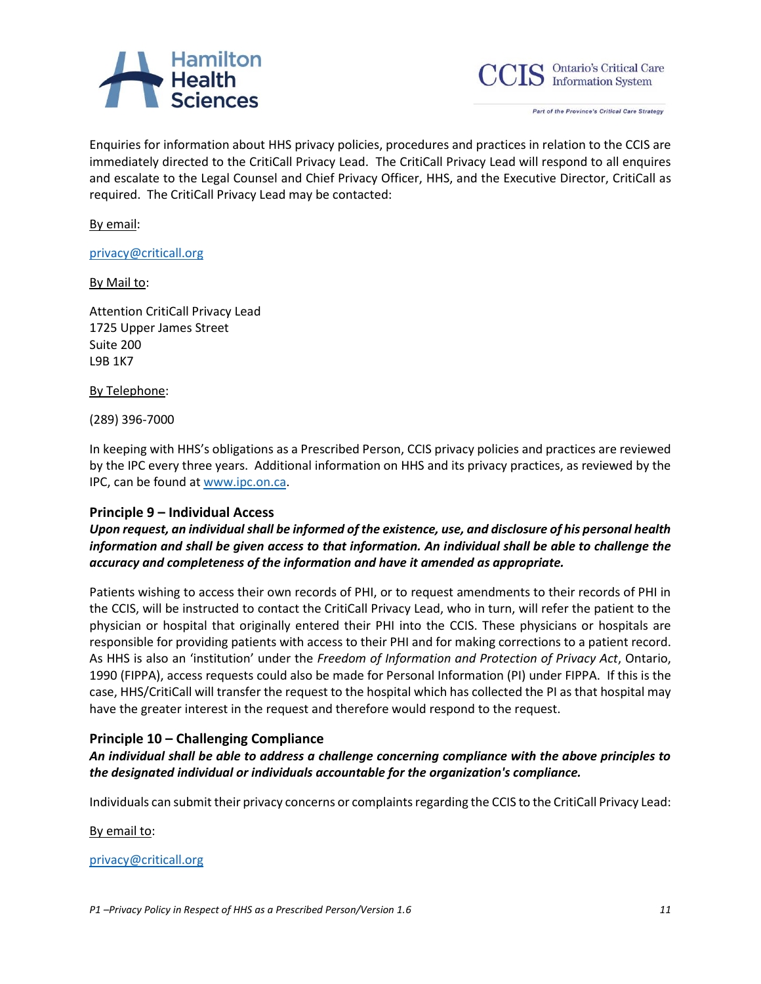



Enquiries for information about HHS privacy policies, procedures and practices in relation to the CCIS are immediately directed to the CritiCall Privacy Lead. The CritiCall Privacy Lead will respond to all enquires and escalate to the Legal Counsel and Chief Privacy Officer, HHS, and the Executive Director, CritiCall as required. The CritiCall Privacy Lead may be contacted:

By email:

[privacy@criticall.org](mailto:privacy@criticall.org) 

#### By Mail to:

Attention CritiCall Privacy Lead 1725 Upper James Street Suite 200 L9B 1K7

By Telephone:

(289) 396-7000

In keeping with HHS's obligations as a Prescribed Person, CCIS privacy policies and practices are reviewed by the IPC every three years. Additional information on HHS and its privacy practices, as reviewed by the IPC, can be found at [www.ipc.on.ca.](http://www.ipc.on.ca/)

## **Principle 9 – Individual Access**

*Upon request, an individual shall be informed of the existence, use, and disclosure of his personal health information and shall be given access to that information. An individual shall be able to challenge the accuracy and completeness of the information and have it amended as appropriate.*

Patients wishing to access their own records of PHI, or to request amendments to their records of PHI in the CCIS, will be instructed to contact the CritiCall Privacy Lead, who in turn, will refer the patient to the physician or hospital that originally entered their PHI into the CCIS. These physicians or hospitals are responsible for providing patients with access to their PHI and for making corrections to a patient record. As HHS is also an 'institution' under the *Freedom of Information and Protection of Privacy Act*, Ontario, 1990 (FIPPA), access requests could also be made for Personal Information (PI) under FIPPA. If this is the case, HHS/CritiCall will transfer the request to the hospital which has collected the PI as that hospital may have the greater interest in the request and therefore would respond to the request.

## **Principle 10 – Challenging Compliance**

*An individual shall be able to address a challenge concerning compliance with the above principles to the designated individual or individuals accountable for the organization's compliance.*

Individuals can submit their privacy concerns or complaints regarding the CCIS to the CritiCall Privacy Lead:

By email to:

[privacy@criticall.org](mailto:privacy@criticall.org)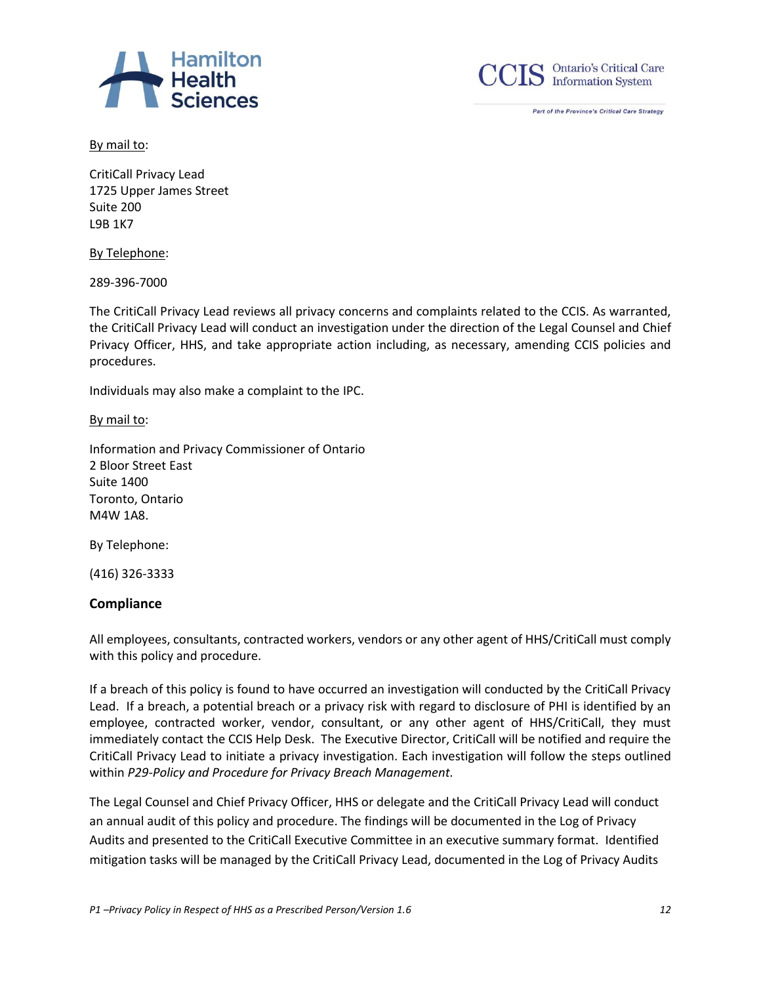



By mail to:

CritiCall Privacy Lead 1725 Upper James Street Suite 200 L9B 1K7

By Telephone:

289-396-7000

The CritiCall Privacy Lead reviews all privacy concerns and complaints related to the CCIS. As warranted, the CritiCall Privacy Lead will conduct an investigation under the direction of the Legal Counsel and Chief Privacy Officer, HHS, and take appropriate action including, as necessary, amending CCIS policies and procedures.

Individuals may also make a complaint to the IPC.

By mail to:

Information and Privacy Commissioner of Ontario 2 Bloor Street East Suite 1400 Toronto, Ontario M4W 1A8.

By Telephone:

(416) 326-3333

## **Compliance**

All employees, consultants, contracted workers, vendors or any other agent of HHS/CritiCall must comply with this policy and procedure.

If a breach of this policy is found to have occurred an investigation will conducted by the CritiCall Privacy Lead. If a breach, a potential breach or a privacy risk with regard to disclosure of PHI is identified by an employee, contracted worker, vendor, consultant, or any other agent of HHS/CritiCall, they must immediately contact the CCIS Help Desk. The Executive Director, CritiCall will be notified and require the CritiCall Privacy Lead to initiate a privacy investigation. Each investigation will follow the steps outlined within *P29-Policy and Procedure for Privacy Breach Management.*

The Legal Counsel and Chief Privacy Officer, HHS or delegate and the CritiCall Privacy Lead will conduct an annual audit of this policy and procedure. The findings will be documented in the Log of Privacy Audits and presented to the CritiCall Executive Committee in an executive summary format. Identified mitigation tasks will be managed by the CritiCall Privacy Lead, documented in the Log of Privacy Audits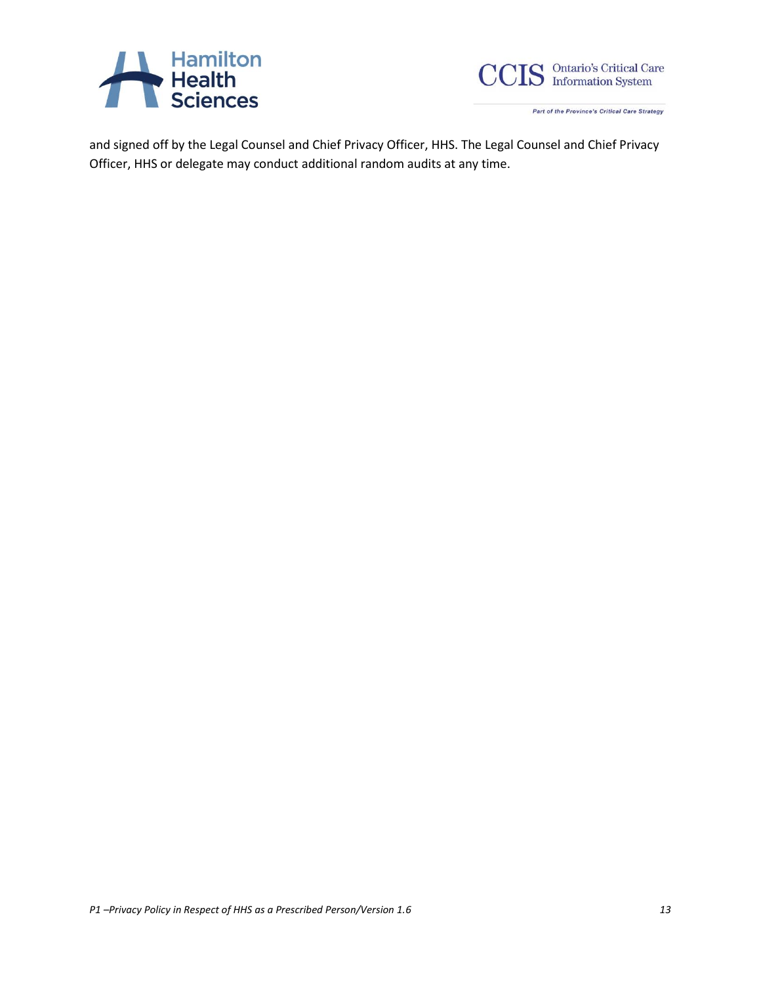



and signed off by the Legal Counsel and Chief Privacy Officer, HHS. The Legal Counsel and Chief Privacy Officer, HHS or delegate may conduct additional random audits at any time.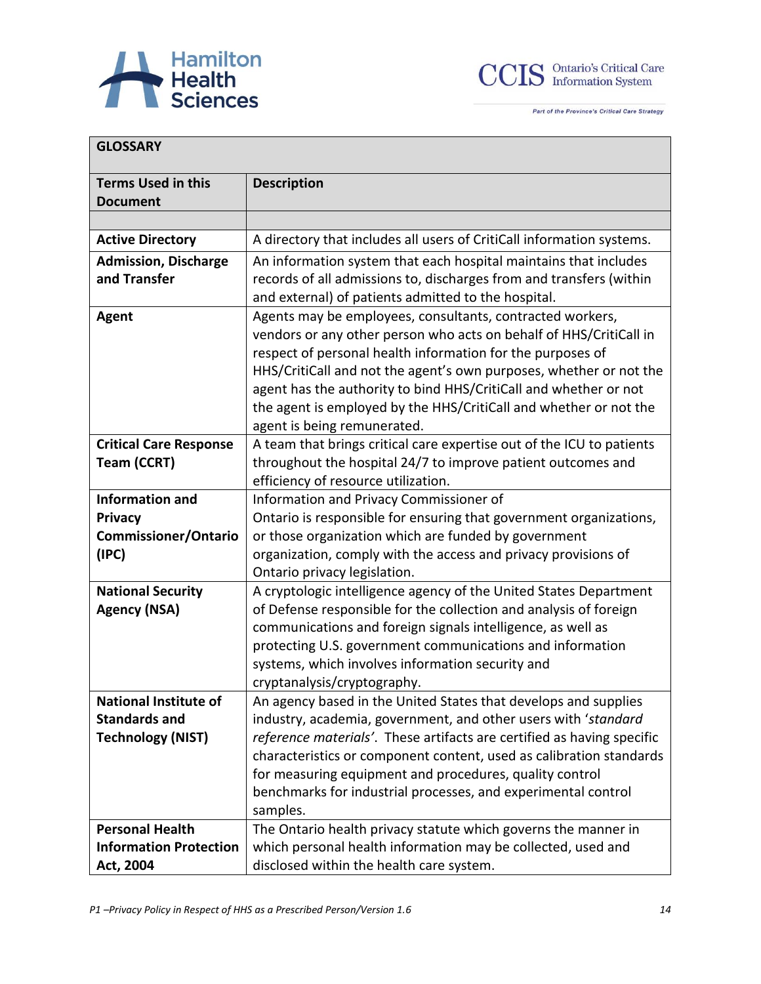



| <b>GLOSSARY</b>                                                                  |                                                                                                                                                                                                                                                                                                                                                                                                                                             |
|----------------------------------------------------------------------------------|---------------------------------------------------------------------------------------------------------------------------------------------------------------------------------------------------------------------------------------------------------------------------------------------------------------------------------------------------------------------------------------------------------------------------------------------|
| <b>Terms Used in this</b><br><b>Document</b>                                     | <b>Description</b>                                                                                                                                                                                                                                                                                                                                                                                                                          |
|                                                                                  |                                                                                                                                                                                                                                                                                                                                                                                                                                             |
| <b>Active Directory</b>                                                          | A directory that includes all users of CritiCall information systems.                                                                                                                                                                                                                                                                                                                                                                       |
| <b>Admission, Discharge</b><br>and Transfer                                      | An information system that each hospital maintains that includes<br>records of all admissions to, discharges from and transfers (within<br>and external) of patients admitted to the hospital.                                                                                                                                                                                                                                              |
| <b>Agent</b>                                                                     | Agents may be employees, consultants, contracted workers,<br>vendors or any other person who acts on behalf of HHS/CritiCall in<br>respect of personal health information for the purposes of<br>HHS/CritiCall and not the agent's own purposes, whether or not the<br>agent has the authority to bind HHS/CritiCall and whether or not<br>the agent is employed by the HHS/CritiCall and whether or not the<br>agent is being remunerated. |
| <b>Critical Care Response</b><br>Team (CCRT)                                     | A team that brings critical care expertise out of the ICU to patients<br>throughout the hospital 24/7 to improve patient outcomes and<br>efficiency of resource utilization.                                                                                                                                                                                                                                                                |
| <b>Information and</b><br><b>Privacy</b><br><b>Commissioner/Ontario</b><br>(IPC) | Information and Privacy Commissioner of<br>Ontario is responsible for ensuring that government organizations,<br>or those organization which are funded by government<br>organization, comply with the access and privacy provisions of<br>Ontario privacy legislation.                                                                                                                                                                     |
| <b>National Security</b><br><b>Agency (NSA)</b>                                  | A cryptologic intelligence agency of the United States Department<br>of Defense responsible for the collection and analysis of foreign<br>communications and foreign signals intelligence, as well as<br>protecting U.S. government communications and information<br>systems, which involves information security and<br>cryptanalysis/cryptography.                                                                                       |
| <b>National Institute of</b><br><b>Standards and</b><br><b>Technology (NIST)</b> | An agency based in the United States that develops and supplies<br>industry, academia, government, and other users with 'standard<br>reference materials'. These artifacts are certified as having specific<br>characteristics or component content, used as calibration standards<br>for measuring equipment and procedures, quality control<br>benchmarks for industrial processes, and experimental control<br>samples.                  |
| <b>Personal Health</b><br><b>Information Protection</b><br>Act, 2004             | The Ontario health privacy statute which governs the manner in<br>which personal health information may be collected, used and<br>disclosed within the health care system.                                                                                                                                                                                                                                                                  |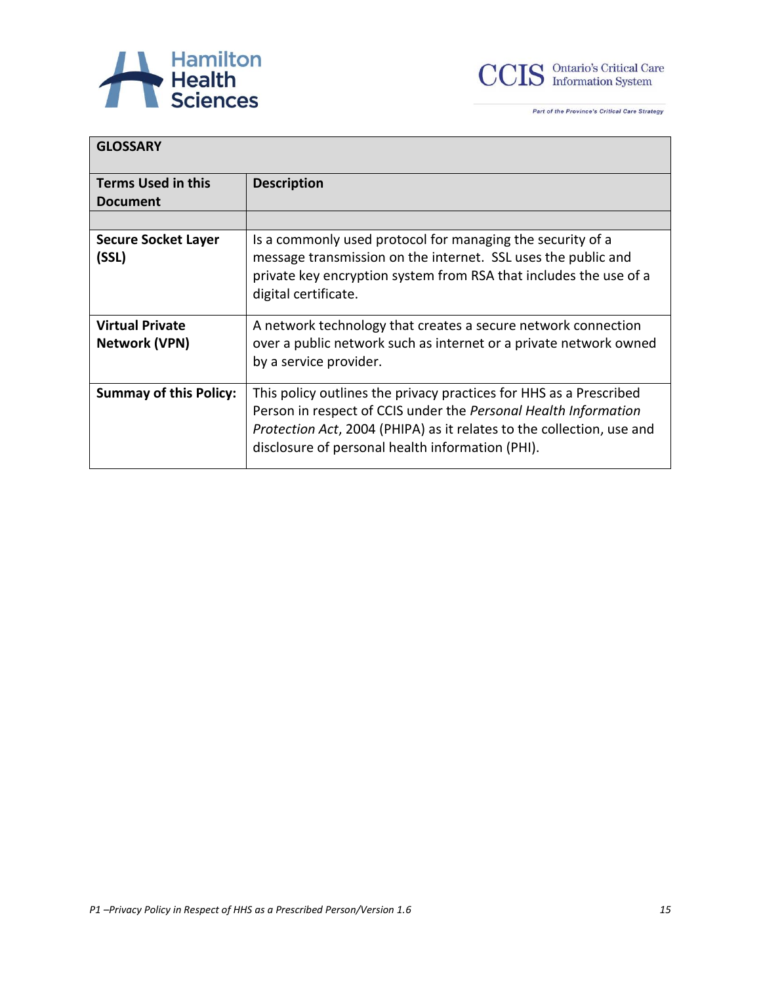



| <b>GLOSSARY</b>                                |                                                                                                                                                                                                                                                                    |
|------------------------------------------------|--------------------------------------------------------------------------------------------------------------------------------------------------------------------------------------------------------------------------------------------------------------------|
| <b>Terms Used in this</b><br><b>Document</b>   | <b>Description</b>                                                                                                                                                                                                                                                 |
|                                                |                                                                                                                                                                                                                                                                    |
| <b>Secure Socket Layer</b><br>(SSL)            | Is a commonly used protocol for managing the security of a<br>message transmission on the internet. SSL uses the public and<br>private key encryption system from RSA that includes the use of a<br>digital certificate.                                           |
| <b>Virtual Private</b><br><b>Network (VPN)</b> | A network technology that creates a secure network connection<br>over a public network such as internet or a private network owned<br>by a service provider.                                                                                                       |
| <b>Summay of this Policy:</b>                  | This policy outlines the privacy practices for HHS as a Prescribed<br>Person in respect of CCIS under the Personal Health Information<br>Protection Act, 2004 (PHIPA) as it relates to the collection, use and<br>disclosure of personal health information (PHI). |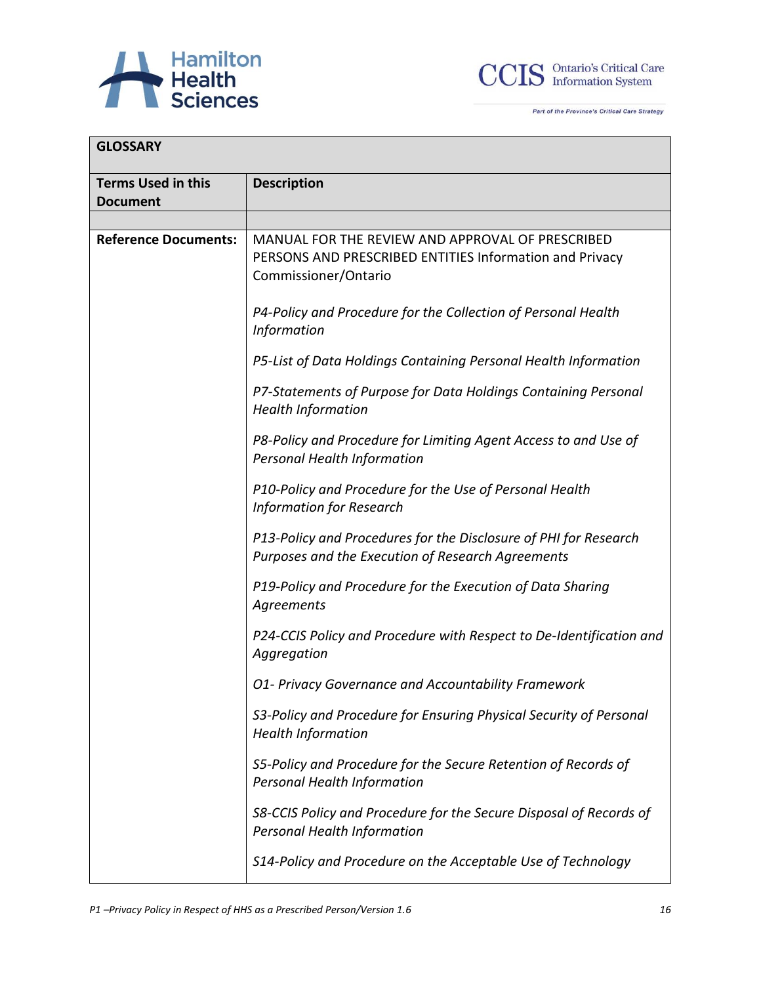



| <b>GLOSSARY</b>             |                                                                                                                                     |
|-----------------------------|-------------------------------------------------------------------------------------------------------------------------------------|
| <b>Terms Used in this</b>   | <b>Description</b>                                                                                                                  |
| <b>Document</b>             |                                                                                                                                     |
|                             |                                                                                                                                     |
| <b>Reference Documents:</b> | MANUAL FOR THE REVIEW AND APPROVAL OF PRESCRIBED<br>PERSONS AND PRESCRIBED ENTITIES Information and Privacy<br>Commissioner/Ontario |
|                             | P4-Policy and Procedure for the Collection of Personal Health<br><b>Information</b>                                                 |
|                             | P5-List of Data Holdings Containing Personal Health Information                                                                     |
|                             | P7-Statements of Purpose for Data Holdings Containing Personal<br><b>Health Information</b>                                         |
|                             | P8-Policy and Procedure for Limiting Agent Access to and Use of<br>Personal Health Information                                      |
|                             | P10-Policy and Procedure for the Use of Personal Health<br><b>Information for Research</b>                                          |
|                             | P13-Policy and Procedures for the Disclosure of PHI for Research<br>Purposes and the Execution of Research Agreements               |
|                             | P19-Policy and Procedure for the Execution of Data Sharing<br>Agreements                                                            |
|                             | P24-CCIS Policy and Procedure with Respect to De-Identification and<br>Aggregation                                                  |
|                             | O1- Privacy Governance and Accountability Framework                                                                                 |
|                             | S3-Policy and Procedure for Ensuring Physical Security of Personal<br><b>Health Information</b>                                     |
|                             | S5-Policy and Procedure for the Secure Retention of Records of<br>Personal Health Information                                       |
|                             | S8-CCIS Policy and Procedure for the Secure Disposal of Records of<br>Personal Health Information                                   |
|                             | S14-Policy and Procedure on the Acceptable Use of Technology                                                                        |